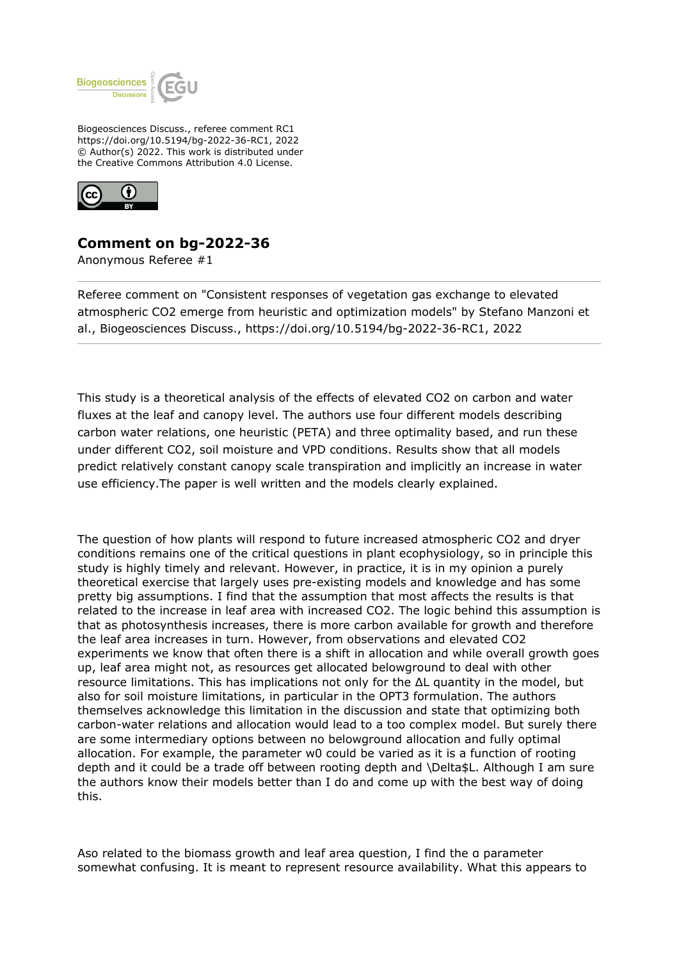

Biogeosciences Discuss., referee comment RC1 https://doi.org/10.5194/bg-2022-36-RC1, 2022 © Author(s) 2022. This work is distributed under the Creative Commons Attribution 4.0 License.



## **Comment on bg-2022-36**

Anonymous Referee #1

Referee comment on "Consistent responses of vegetation gas exchange to elevated atmospheric CO2 emerge from heuristic and optimization models" by Stefano Manzoni et al., Biogeosciences Discuss., https://doi.org/10.5194/bg-2022-36-RC1, 2022

This study is a theoretical analysis of the effects of elevated CO2 on carbon and water fluxes at the leaf and canopy level. The authors use four different models describing carbon water relations, one heuristic (PETA) and three optimality based, and run these under different CO2, soil moisture and VPD conditions. Results show that all models predict relatively constant canopy scale transpiration and implicitly an increase in water use efficiency.The paper is well written and the models clearly explained.

The question of how plants will respond to future increased atmospheric CO2 and dryer conditions remains one of the critical questions in plant ecophysiology, so in principle this study is highly timely and relevant. However, in practice, it is in my opinion a purely theoretical exercise that largely uses pre-existing models and knowledge and has some pretty big assumptions. I find that the assumption that most affects the results is that related to the increase in leaf area with increased CO2. The logic behind this assumption is that as photosynthesis increases, there is more carbon available for growth and therefore the leaf area increases in turn. However, from observations and elevated CO2 experiments we know that often there is a shift in allocation and while overall growth goes up, leaf area might not, as resources get allocated belowground to deal with other resource limitations. This has implications not only for the ΔL quantity in the model, but also for soil moisture limitations, in particular in the OPT3 formulation. The authors themselves acknowledge this limitation in the discussion and state that optimizing both carbon-water relations and allocation would lead to a too complex model. But surely there are some intermediary options between no belowground allocation and fully optimal allocation. For example, the parameter w0 could be varied as it is a function of rooting depth and it could be a trade off between rooting depth and \Delta\$L. Although I am sure the authors know their models better than I do and come up with the best way of doing this.

Aso related to the biomass growth and leaf area question, I find the α parameter somewhat confusing. It is meant to represent resource availability. What this appears to